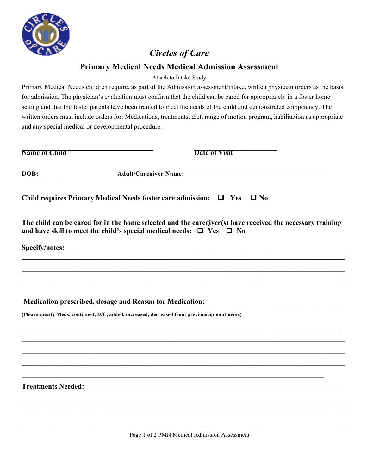

## *Circles of Care*

## **Primary Medical Needs Medical Admission Assessment**

Attach to Intake Study

Primary Medical Needs children require, as part of the Admission assessment/intake, written physician orders as the basis for admission. The physician's evaluation must confirm that the child can be cared for appropriately in a foster home setting and that the foster parents have been trained to meet the needs of the child and demonstrated competency. The written orders must include orders for: Medications, treatments, diet, range of motion program, habilitation as appropriate and any special medical or developmental procedure.

| <b>Name of Child</b>                                                                                                                                                                        | <b>Date of Visit</b>                                                                                           |  |  |
|---------------------------------------------------------------------------------------------------------------------------------------------------------------------------------------------|----------------------------------------------------------------------------------------------------------------|--|--|
|                                                                                                                                                                                             | DOB: Adult/Caregiver Name: Mannel Mannel Mannel Mannel Mannel Mannel Mannel Mannel Mannel Mannel Mannel Mannel |  |  |
| Child requires Primary Medical Needs foster care admission: $\Box$ Yes $\Box$ No                                                                                                            |                                                                                                                |  |  |
| The child can be cared for in the home selected and the caregiver(s) have received the necessary training<br>and have skill to meet the child's special medical needs: $\Box$ Yes $\Box$ No |                                                                                                                |  |  |
|                                                                                                                                                                                             |                                                                                                                |  |  |
|                                                                                                                                                                                             |                                                                                                                |  |  |
|                                                                                                                                                                                             |                                                                                                                |  |  |
|                                                                                                                                                                                             |                                                                                                                |  |  |
| Medication prescribed, dosage and Reason for Medication: ________________________                                                                                                           |                                                                                                                |  |  |
| (Please specify Meds. continued, D/C, added, increased, decreased from previous appointments)                                                                                               |                                                                                                                |  |  |
|                                                                                                                                                                                             |                                                                                                                |  |  |
|                                                                                                                                                                                             |                                                                                                                |  |  |
|                                                                                                                                                                                             |                                                                                                                |  |  |
|                                                                                                                                                                                             |                                                                                                                |  |  |
|                                                                                                                                                                                             | <u> 1989 - Johann Johann Stoff, fransk politik (f. 1989)</u>                                                   |  |  |
|                                                                                                                                                                                             |                                                                                                                |  |  |
|                                                                                                                                                                                             |                                                                                                                |  |  |
|                                                                                                                                                                                             |                                                                                                                |  |  |

 $\mathcal{L}_\mathcal{L} = \{ \mathcal{L}_\mathcal{L} = \{ \mathcal{L}_\mathcal{L} = \{ \mathcal{L}_\mathcal{L} = \{ \mathcal{L}_\mathcal{L} = \{ \mathcal{L}_\mathcal{L} = \{ \mathcal{L}_\mathcal{L} = \{ \mathcal{L}_\mathcal{L} = \{ \mathcal{L}_\mathcal{L} = \{ \mathcal{L}_\mathcal{L} = \{ \mathcal{L}_\mathcal{L} = \{ \mathcal{L}_\mathcal{L} = \{ \mathcal{L}_\mathcal{L} = \{ \mathcal{L}_\mathcal{L} = \{ \mathcal{L}_\mathcal{$